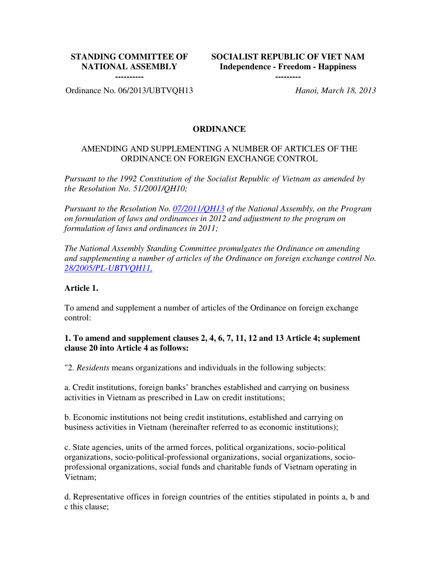## **STANDING COMMITTEE OF NATIONAL ASSEMBLY**

**SOCIALIST REPUBLIC OF VIET NAM Independence - Freedom - Happiness**

**---------**

**----------**

Ordinance No. 06/2013/UBTVQH13 *Hanoi, March 18, 2013* 

#### **ORDINANCE**

#### AMENDING AND SUPPLEMENTING A NUMBER OF ARTICLES OF THE ORDINANCE ON FOREIGN EXCHANGE CONTROL

*Pursuant to the 1992 Constitution of the Socialist Republic of Vietnam as amended by the Resolution No. 51/2001/QH10;* 

*Pursuant to the Resolution No. 07/2011/QH13 of the National Assembly, on the Program on formulation of laws and ordinances in 2012 and adjustment to the program on formulation of laws and ordinances in 2011;*

*The National Assembly Standing Committee promulgates the Ordinance on amending and supplementing a number of articles of the Ordinance on foreign exchange control No. 28/2005/PL-UBTVQH11,*

#### **Article 1.**

To amend and supplement a number of articles of the Ordinance on foreign exchange control:

#### **1. To amend and supplement clauses 2, 4, 6, 7, 11, 12 and 13 Article 4; suplement clause 20 into Article 4 as follows:**

"2. *Residents* means organizations and individuals in the following subjects:

a. Credit institutions, foreign banks' branches established and carrying on business activities in Vietnam as prescribed in Law on credit institutions;

b. Economic institutions not being credit institutions, established and carrying on business activities in Vietnam (hereinafter referred to as economic institutions);

c. State agencies, units of the armed forces, political organizations, socio-political organizations, socio-political-professional organizations, social organizations, socioprofessional organizations, social funds and charitable funds of Vietnam operating in Vietnam;

d. Representative offices in foreign countries of the entities stipulated in points a, b and c this clause;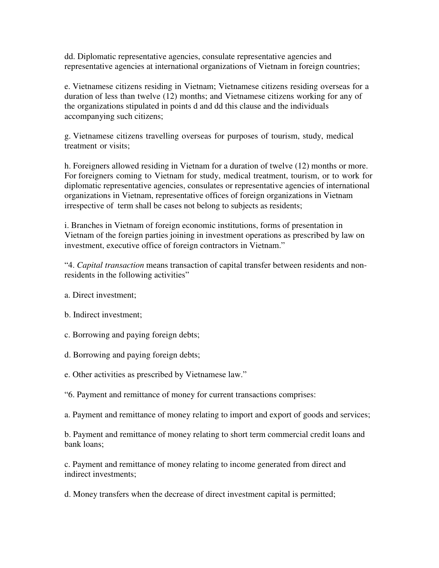dd. Diplomatic representative agencies, consulate representative agencies and representative agencies at international organizations of Vietnam in foreign countries;

e. Vietnamese citizens residing in Vietnam; Vietnamese citizens residing overseas for a duration of less than twelve (12) months; and Vietnamese citizens working for any of the organizations stipulated in points d and dd this clause and the individuals accompanying such citizens;

g. Vietnamese citizens travelling overseas for purposes of tourism, study, medical treatment or visits;

h. Foreigners allowed residing in Vietnam for a duration of twelve (12) months or more. For foreigners coming to Vietnam for study, medical treatment, tourism, or to work for diplomatic representative agencies, consulates or representative agencies of international organizations in Vietnam, representative offices of foreign organizations in Vietnam irrespective of term shall be cases not belong to subjects as residents;

i. Branches in Vietnam of foreign economic institutions, forms of presentation in Vietnam of the foreign parties joining in investment operations as prescribed by law on investment, executive office of foreign contractors in Vietnam."

"4. *Capital transaction* means transaction of capital transfer between residents and nonresidents in the following activities"

- a. Direct investment;
- b. Indirect investment;
- c. Borrowing and paying foreign debts;
- d. Borrowing and paying foreign debts;
- e. Other activities as prescribed by Vietnamese law."
- "6. Payment and remittance of money for current transactions comprises:
- a. Payment and remittance of money relating to import and export of goods and services;

b. Payment and remittance of money relating to short term commercial credit loans and bank loans;

c. Payment and remittance of money relating to income generated from direct and indirect investments;

d. Money transfers when the decrease of direct investment capital is permitted;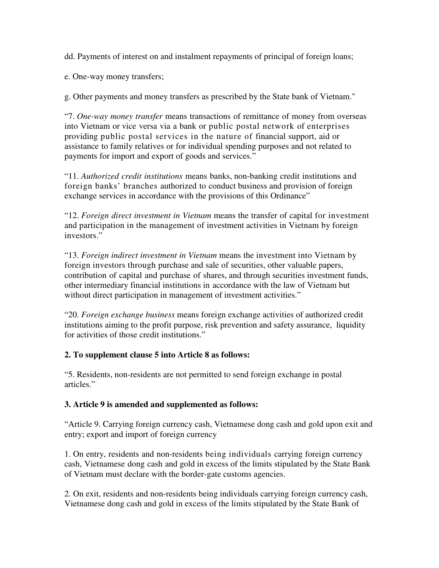dd. Payments of interest on and instalment repayments of principal of foreign loans;

e. One-way money transfers;

g. Other payments and money transfers as prescribed by the State bank of Vietnam."

"7. *One-way money transfer* means transactions of remittance of money from overseas into Vietnam or vice versa via a bank or public postal network of enterprises providing public postal services in the nature of financial support, aid or assistance to family relatives or for individual spending purposes and not related to payments for import and export of goods and services."

"11. *Authorized credit institutions* means banks, non-banking credit institutions and foreign banks' branches authorized to conduct business and provision of foreign exchange services in accordance with the provisions of this Ordinance"

"12. *Foreign direct investment in Vietnam* means the transfer of capital for investment and participation in the management of investment activities in Vietnam by foreign investors."

"13. *Foreign indirect investment in Vietnam* means the investment into Vietnam by foreign investors through purchase and sale of securities, other valuable papers, contribution of capital and purchase of shares, and through securities investment funds, other intermediary financial institutions in accordance with the law of Vietnam but without direct participation in management of investment activities."

"20. *Foreign exchange business* means foreign exchange activities of authorized credit institutions aiming to the profit purpose, risk prevention and safety assurance, liquidity for activities of those credit institutions."

# **2. To supplement clause 5 into Article 8 as follows:**

"5. Residents, non-residents are not permitted to send foreign exchange in postal articles."

### **3. Article 9 is amended and supplemented as follows:**

"Article 9. Carrying foreign currency cash, Vietnamese dong cash and gold upon exit and entry; export and import of foreign currency

1. On entry, residents and non-residents being individuals carrying foreign currency cash, Vietnamese dong cash and gold in excess of the limits stipulated by the State Bank of Vietnam must declare with the border-gate customs agencies.

2. On exit, residents and non-residents being individuals carrying foreign currency cash, Vietnamese dong cash and gold in excess of the limits stipulated by the State Bank of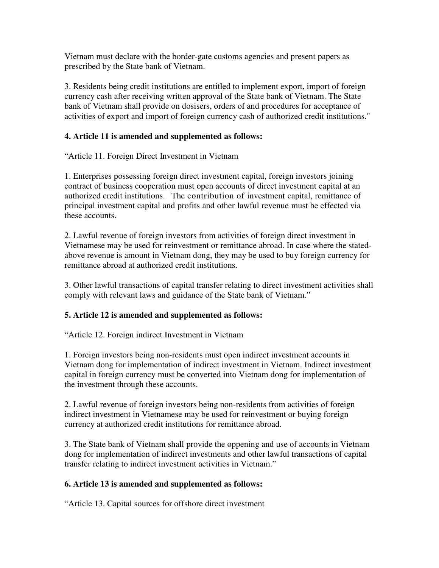Vietnam must declare with the border-gate customs agencies and present papers as prescribed by the State bank of Vietnam.

3. Residents being credit institutions are entitled to implement export, import of foreign currency cash after receiving written approval of the State bank of Vietnam. The State bank of Vietnam shall provide on dosisers, orders of and procedures for acceptance of activities of export and import of foreign currency cash of authorized credit institutions."

## **4. Article 11 is amended and supplemented as follows:**

"Article 11. Foreign Direct Investment in Vietnam

1. Enterprises possessing foreign direct investment capital, foreign investors joining contract of business cooperation must open accounts of direct investment capital at an authorized credit institutions. The contribution of investment capital, remittance of principal investment capital and profits and other lawful revenue must be effected via these accounts.

2. Lawful revenue of foreign investors from activities of foreign direct investment in Vietnamese may be used for reinvestment or remittance abroad. In case where the statedabove revenue is amount in Vietnam dong, they may be used to buy foreign currency for remittance abroad at authorized credit institutions.

3. Other lawful transactions of capital transfer relating to direct investment activities shall comply with relevant laws and guidance of the State bank of Vietnam."

### **5. Article 12 is amended and supplemented as follows:**

"Article 12. Foreign indirect Investment in Vietnam

1. Foreign investors being non-residents must open indirect investment accounts in Vietnam dong for implementation of indirect investment in Vietnam. Indirect investment capital in foreign currency must be converted into Vietnam dong for implementation of the investment through these accounts.

2. Lawful revenue of foreign investors being non-residents from activities of foreign indirect investment in Vietnamese may be used for reinvestment or buying foreign currency at authorized credit institutions for remittance abroad.

3. The State bank of Vietnam shall provide the oppening and use of accounts in Vietnam dong for implementation of indirect investments and other lawful transactions of capital transfer relating to indirect investment activities in Vietnam."

### **6. Article 13 is amended and supplemented as follows:**

"Article 13. Capital sources for offshore direct investment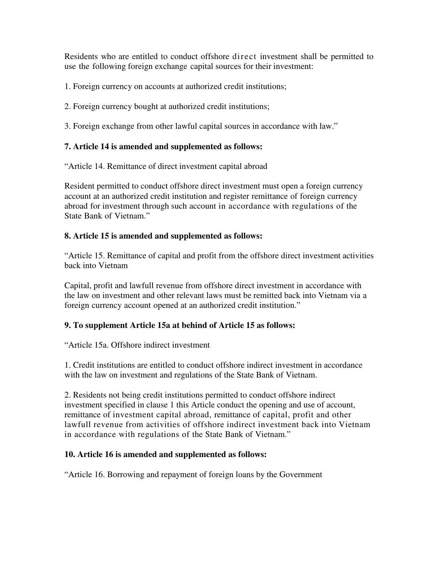Residents who are entitled to conduct offshore direct investment shall be permitted to use the following foreign exchange capital sources for their investment:

1. Foreign currency on accounts at authorized credit institutions;

2. Foreign currency bought at authorized credit institutions;

3. Foreign exchange from other lawful capital sources in accordance with law."

## **7. Article 14 is amended and supplemented as follows:**

"Article 14. Remittance of direct investment capital abroad

Resident permitted to conduct offshore direct investment must open a foreign currency account at an authorized credit institution and register remittance of foreign currency abroad for investment through such account in accordance with regulations of the State Bank of Vietnam."

## **8. Article 15 is amended and supplemented as follows:**

"Article 15. Remittance of capital and profit from the offshore direct investment activities back into Vietnam

Capital, profit and lawfull revenue from offshore direct investment in accordance with the law on investment and other relevant laws must be remitted back into Vietnam via a foreign currency account opened at an authorized credit institution."

# **9. To supplement Article 15a at behind of Article 15 as follows:**

"Article 15a. Offshore indirect investment

1. Credit institutions are entitled to conduct offshore indirect investment in accordance with the law on investment and regulations of the State Bank of Vietnam.

2. Residents not being credit institutions permitted to conduct offshore indirect investment specified in clause 1 this Article conduct the opening and use of account, remittance of investment capital abroad, remittance of capital, profit and other lawfull revenue from activities of offshore indirect investment back into Vietnam in accordance with regulations of the State Bank of Vietnam."

### **10. Article 16 is amended and supplemented as follows:**

"Article 16. Borrowing and repayment of foreign loans by the Government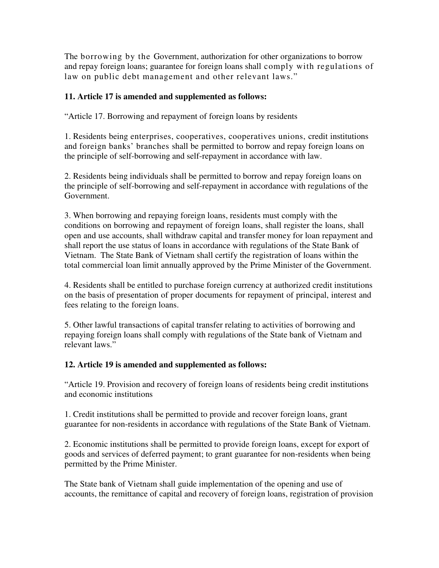The borrowing by the Government, authorization for other organizations to borrow and repay foreign loans; guarantee for foreign loans shall comply with regulations of law on public debt management and other relevant laws."

### **11. Article 17 is amended and supplemented as follows:**

"Article 17. Borrowing and repayment of foreign loans by residents

1. Residents being enterprises, cooperatives, cooperatives unions, credit institutions and foreign banks' branches shall be permitted to borrow and repay foreign loans on the principle of self-borrowing and self-repayment in accordance with law.

2. Residents being individuals shall be permitted to borrow and repay foreign loans on the principle of self-borrowing and self-repayment in accordance with regulations of the Government.

3. When borrowing and repaying foreign loans, residents must comply with the conditions on borrowing and repayment of foreign loans, shall register the loans, shall open and use accounts, shall withdraw capital and transfer money for loan repayment and shall report the use status of loans in accordance with regulations of the State Bank of Vietnam. The State Bank of Vietnam shall certify the registration of loans within the total commercial loan limit annually approved by the Prime Minister of the Government.

4. Residents shall be entitled to purchase foreign currency at authorized credit institutions on the basis of presentation of proper documents for repayment of principal, interest and fees relating to the foreign loans.

5. Other lawful transactions of capital transfer relating to activities of borrowing and repaying foreign loans shall comply with regulations of the State bank of Vietnam and relevant laws."

# **12. Article 19 is amended and supplemented as follows:**

"Article 19. Provision and recovery of foreign loans of residents being credit institutions and economic institutions

1. Credit institutions shall be permitted to provide and recover foreign loans, grant guarantee for non-residents in accordance with regulations of the State Bank of Vietnam.

2. Economic institutions shall be permitted to provide foreign loans, except for export of goods and services of deferred payment; to grant guarantee for non-residents when being permitted by the Prime Minister.

The State bank of Vietnam shall guide implementation of the opening and use of accounts, the remittance of capital and recovery of foreign loans, registration of provision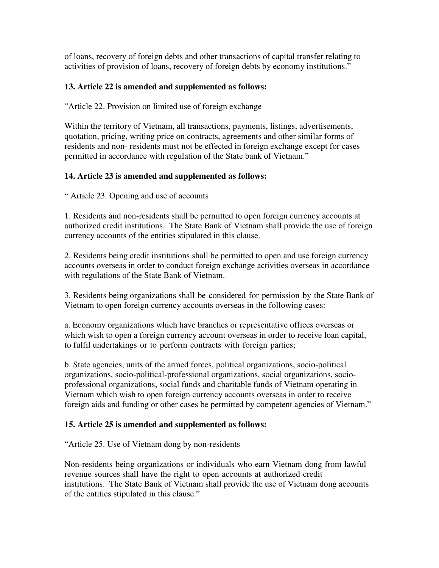of loans, recovery of foreign debts and other transactions of capital transfer relating to activities of provision of loans, recovery of foreign debts by economy institutions."

### **13. Article 22 is amended and supplemented as follows:**

"Article 22. Provision on limited use of foreign exchange

Within the territory of Vietnam, all transactions, payments, listings, advertisements, quotation, pricing, writing price on contracts, agreements and other similar forms of residents and non- residents must not be effected in foreign exchange except for cases permitted in accordance with regulation of the State bank of Vietnam."

## **14. Article 23 is amended and supplemented as follows:**

" Article 23. Opening and use of accounts

1. Residents and non-residents shall be permitted to open foreign currency accounts at authorized credit institutions. The State Bank of Vietnam shall provide the use of foreign currency accounts of the entities stipulated in this clause.

2. Residents being credit institutions shall be permitted to open and use foreign currency accounts overseas in order to conduct foreign exchange activities overseas in accordance with regulations of the State Bank of Vietnam.

3. Residents being organizations shall be considered for permission by the State Bank of Vietnam to open foreign currency accounts overseas in the following cases:

a. Economy organizations which have branches or representative offices overseas or which wish to open a foreign currency account overseas in order to receive loan capital, to fulfil undertakings or to perform contracts with foreign parties;

b. State agencies, units of the armed forces, political organizations, socio-political organizations, socio-political-professional organizations, social organizations, socioprofessional organizations, social funds and charitable funds of Vietnam operating in Vietnam which wish to open foreign currency accounts overseas in order to receive foreign aids and funding or other cases be permitted by competent agencies of Vietnam."

### **15. Article 25 is amended and supplemented as follows:**

"Article 25. Use of Vietnam dong by non-residents

Non-residents being organizations or individuals who earn Vietnam dong from lawful revenue sources shall have the right to open accounts at authorized credit institutions. The State Bank of Vietnam shall provide the use of Vietnam dong accounts of the entities stipulated in this clause."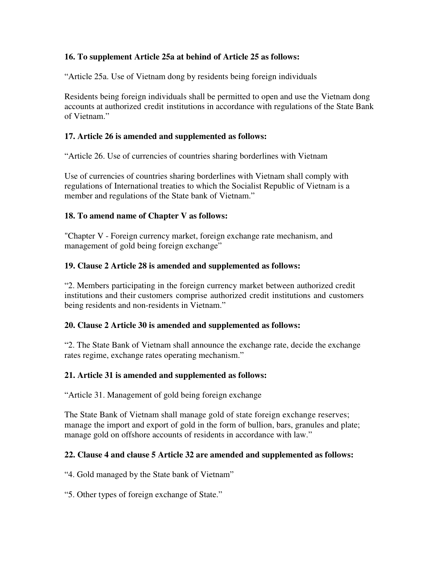## **16. To supplement Article 25a at behind of Article 25 as follows:**

"Article 25a. Use of Vietnam dong by residents being foreign individuals

Residents being foreign individuals shall be permitted to open and use the Vietnam dong accounts at authorized credit institutions in accordance with regulations of the State Bank of Vietnam."

## **17. Article 26 is amended and supplemented as follows:**

"Article 26. Use of currencies of countries sharing borderlines with Vietnam

Use of currencies of countries sharing borderlines with Vietnam shall comply with regulations of International treaties to which the Socialist Republic of Vietnam is a member and regulations of the State bank of Vietnam."

### **18. To amend name of Chapter V as follows:**

"Chapter V - Foreign currency market, foreign exchange rate mechanism, and management of gold being foreign exchange"

### **19. Clause 2 Article 28 is amended and supplemented as follows:**

"2. Members participating in the foreign currency market between authorized credit institutions and their customers comprise authorized credit institutions and customers being residents and non-residents in Vietnam."

### **20. Clause 2 Article 30 is amended and supplemented as follows:**

"2. The State Bank of Vietnam shall announce the exchange rate, decide the exchange rates regime, exchange rates operating mechanism."

### **21. Article 31 is amended and supplemented as follows:**

"Article 31. Management of gold being foreign exchange

The State Bank of Vietnam shall manage gold of state foreign exchange reserves; manage the import and export of gold in the form of bullion, bars, granules and plate; manage gold on offshore accounts of residents in accordance with law."

### **22. Clause 4 and clause 5 Article 32 are amended and supplemented as follows:**

"4. Gold managed by the State bank of Vietnam"

"5. Other types of foreign exchange of State."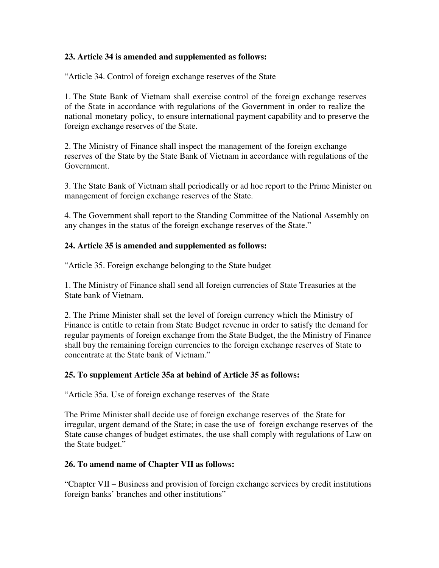### **23. Article 34 is amended and supplemented as follows:**

"Article 34. Control of foreign exchange reserves of the State

1. The State Bank of Vietnam shall exercise control of the foreign exchange reserves of the State in accordance with regulations of the Government in order to realize the national monetary policy, to ensure international payment capability and to preserve the foreign exchange reserves of the State.

2. The Ministry of Finance shall inspect the management of the foreign exchange reserves of the State by the State Bank of Vietnam in accordance with regulations of the Government.

3. The State Bank of Vietnam shall periodically or ad hoc report to the Prime Minister on management of foreign exchange reserves of the State.

4. The Government shall report to the Standing Committee of the National Assembly on any changes in the status of the foreign exchange reserves of the State."

#### **24. Article 35 is amended and supplemented as follows:**

"Article 35. Foreign exchange belonging to the State budget

1. The Ministry of Finance shall send all foreign currencies of State Treasuries at the State bank of Vietnam.

2. The Prime Minister shall set the level of foreign currency which the Ministry of Finance is entitle to retain from State Budget revenue in order to satisfy the demand for regular payments of foreign exchange from the State Budget, the the Ministry of Finance shall buy the remaining foreign currencies to the foreign exchange reserves of State to concentrate at the State bank of Vietnam."

### **25. To supplement Article 35a at behind of Article 35 as follows:**

"Article 35a. Use of foreign exchange reserves of the State

The Prime Minister shall decide use of foreign exchange reserves of the State for irregular, urgent demand of the State; in case the use of foreign exchange reserves of the State cause changes of budget estimates, the use shall comply with regulations of Law on the State budget."

#### **26. To amend name of Chapter VII as follows:**

"Chapter VII – Business and provision of foreign exchange services by credit institutions foreign banks' branches and other institutions"